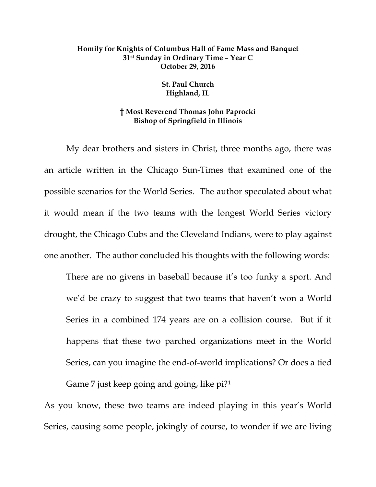## **Homily for Knights of Columbus Hall of Fame Mass and Banquet 31st Sunday in Ordinary Time – Year C October 29, 2016**

## **St. Paul Church Highland, IL**

## **† Most Reverend Thomas John Paprocki Bishop of Springfield in Illinois**

My dear brothers and sisters in Christ, three months ago, there was an article written in the Chicago Sun-Times that examined one of the possible scenarios for the World Series. The author speculated about what it would mean if the two teams with the longest World Series victory drought, the Chicago Cubs and the Cleveland Indians, were to play against one another. The author concluded his thoughts with the following words:

There are no givens in baseball because it's too funky a sport. And we'd be crazy to suggest that two teams that haven't won a World Series in a combined 174 years are on a collision course. But if it happens that these two parched organizations meet in the World Series, can you imagine the end-of-world implications? Or does a tied Game 7 just keep going and going, like pi?[1](#page-6-0)

As you know, these two teams are indeed playing in this year's World Series, causing some people, jokingly of course, to wonder if we are living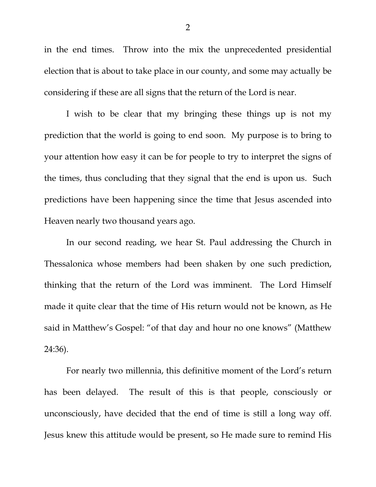in the end times. Throw into the mix the unprecedented presidential election that is about to take place in our county, and some may actually be considering if these are all signs that the return of the Lord is near.

I wish to be clear that my bringing these things up is not my prediction that the world is going to end soon. My purpose is to bring to your attention how easy it can be for people to try to interpret the signs of the times, thus concluding that they signal that the end is upon us. Such predictions have been happening since the time that Jesus ascended into Heaven nearly two thousand years ago.

In our second reading, we hear St. Paul addressing the Church in Thessalonica whose members had been shaken by one such prediction, thinking that the return of the Lord was imminent. The Lord Himself made it quite clear that the time of His return would not be known, as He said in Matthew's Gospel: "of that day and hour no one knows" (Matthew 24:36).

For nearly two millennia, this definitive moment of the Lord's return has been delayed. The result of this is that people, consciously or unconsciously, have decided that the end of time is still a long way off. Jesus knew this attitude would be present, so He made sure to remind His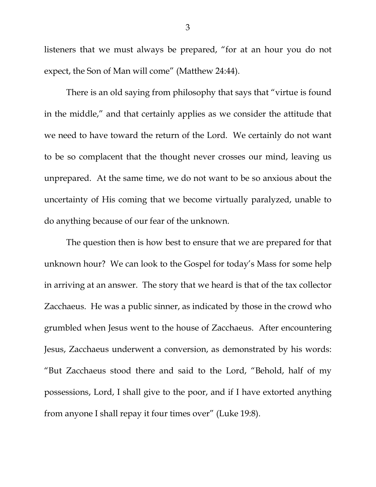listeners that we must always be prepared, "for at an hour you do not expect, the Son of Man will come" (Matthew 24:44).

There is an old saying from philosophy that says that "virtue is found in the middle," and that certainly applies as we consider the attitude that we need to have toward the return of the Lord. We certainly do not want to be so complacent that the thought never crosses our mind, leaving us unprepared. At the same time, we do not want to be so anxious about the uncertainty of His coming that we become virtually paralyzed, unable to do anything because of our fear of the unknown.

The question then is how best to ensure that we are prepared for that unknown hour? We can look to the Gospel for today's Mass for some help in arriving at an answer. The story that we heard is that of the tax collector Zacchaeus. He was a public sinner, as indicated by those in the crowd who grumbled when Jesus went to the house of Zacchaeus. After encountering Jesus, Zacchaeus underwent a conversion, as demonstrated by his words: "But Zacchaeus stood there and said to the Lord, "Behold, half of my possessions, Lord, I shall give to the poor, and if I have extorted anything from anyone I shall repay it four times over" (Luke 19:8).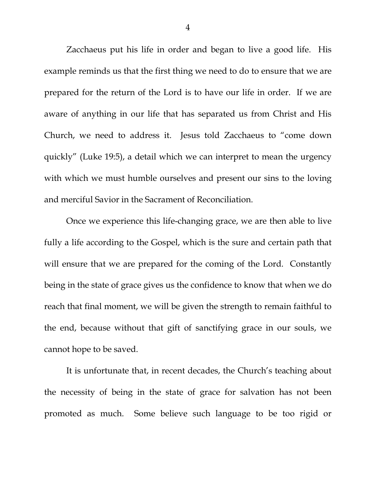Zacchaeus put his life in order and began to live a good life. His example reminds us that the first thing we need to do to ensure that we are prepared for the return of the Lord is to have our life in order. If we are aware of anything in our life that has separated us from Christ and His Church, we need to address it. Jesus told Zacchaeus to "come down quickly" (Luke 19:5), a detail which we can interpret to mean the urgency with which we must humble ourselves and present our sins to the loving and merciful Savior in the Sacrament of Reconciliation.

Once we experience this life-changing grace, we are then able to live fully a life according to the Gospel, which is the sure and certain path that will ensure that we are prepared for the coming of the Lord. Constantly being in the state of grace gives us the confidence to know that when we do reach that final moment, we will be given the strength to remain faithful to the end, because without that gift of sanctifying grace in our souls, we cannot hope to be saved.

It is unfortunate that, in recent decades, the Church's teaching about the necessity of being in the state of grace for salvation has not been promoted as much. Some believe such language to be too rigid or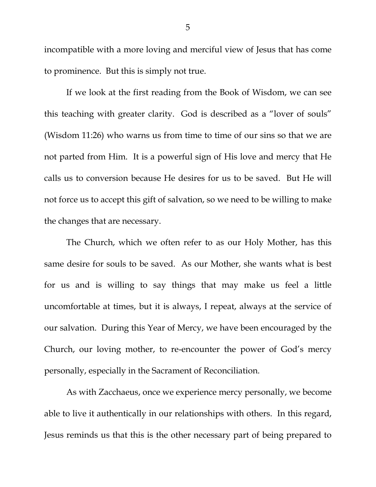incompatible with a more loving and merciful view of Jesus that has come to prominence. But this is simply not true.

If we look at the first reading from the Book of Wisdom, we can see this teaching with greater clarity. God is described as a "lover of souls" (Wisdom 11:26) who warns us from time to time of our sins so that we are not parted from Him. It is a powerful sign of His love and mercy that He calls us to conversion because He desires for us to be saved. But He will not force us to accept this gift of salvation, so we need to be willing to make the changes that are necessary.

The Church, which we often refer to as our Holy Mother, has this same desire for souls to be saved. As our Mother, she wants what is best for us and is willing to say things that may make us feel a little uncomfortable at times, but it is always, I repeat, always at the service of our salvation. During this Year of Mercy, we have been encouraged by the Church, our loving mother, to re-encounter the power of God's mercy personally, especially in the Sacrament of Reconciliation.

As with Zacchaeus, once we experience mercy personally, we become able to live it authentically in our relationships with others. In this regard, Jesus reminds us that this is the other necessary part of being prepared to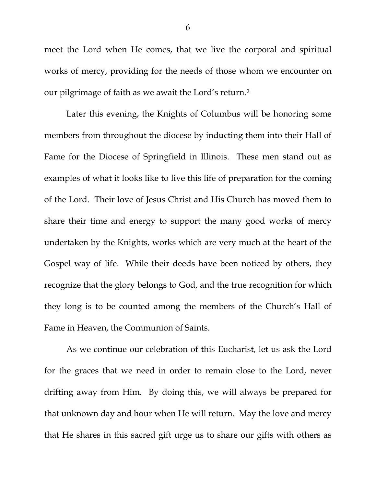meet the Lord when He comes, that we live the corporal and spiritual works of mercy, providing for the needs of those whom we encounter on our pilgrimage of faith as we await the Lord's return.[2](#page-6-1)

Later this evening, the Knights of Columbus will be honoring some members from throughout the diocese by inducting them into their Hall of Fame for the Diocese of Springfield in Illinois. These men stand out as examples of what it looks like to live this life of preparation for the coming of the Lord. Their love of Jesus Christ and His Church has moved them to share their time and energy to support the many good works of mercy undertaken by the Knights, works which are very much at the heart of the Gospel way of life. While their deeds have been noticed by others, they recognize that the glory belongs to God, and the true recognition for which they long is to be counted among the members of the Church's Hall of Fame in Heaven, the Communion of Saints.

As we continue our celebration of this Eucharist, let us ask the Lord for the graces that we need in order to remain close to the Lord, never drifting away from Him. By doing this, we will always be prepared for that unknown day and hour when He will return. May the love and mercy that He shares in this sacred gift urge us to share our gifts with others as

6